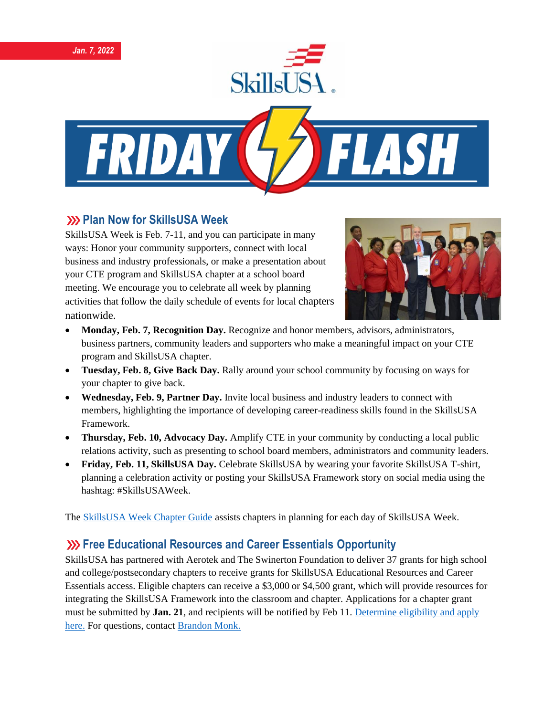





## **222 Plan Now for SkillsUSA Week**

SkillsUSA Week is Feb. 7-11, and you can participate in many ways: Honor your community supporters, connect with local business and industry professionals, or make a presentation about your CTE program and SkillsUSA chapter at a school board meeting. We encourage you to celebrate all week by planning activities that follow the daily schedule of events for local chapters nationwide.



- **Monday, Feb. 7, Recognition Day.** Recognize and honor members, advisors, administrators, business partners, community leaders and supporters who make a meaningful impact on your CTE program and SkillsUSA chapter.
- **Tuesday, Feb. 8, Give Back Day.** Rally around your school community by focusing on ways for your chapter to give back.
- **Wednesday, Feb. 9, Partner Day.** Invite local business and industry leaders to connect with members, highlighting the importance of developing career-readiness skills found in the SkillsUSA Framework.
- **Thursday, Feb. 10, Advocacy Day.** Amplify CTE in your community by conducting a local public relations activity, such as presenting to school board members, administrators and community leaders.
- **Friday, Feb. 11, SkillsUSA Day.** Celebrate SkillsUSA by wearing your favorite SkillsUSA T-shirt, planning a celebration activity or posting your SkillsUSA Framework story on social media using the hashtag: #SkillsUSAWeek.

The **SkillsUSA Week Chapter Guide** assists chapters in planning for each day of SkillsUSA Week.

## **Example 23 Free Educational Resources and Career Essentials Opportunity**

SkillsUSA has partnered with Aerotek and The Swinerton Foundation to deliver 37 grants for high school and college/postsecondary chapters to receive grants for SkillsUSA Educational Resources and Career Essentials access. Eligible chapters can receive a \$3,000 or \$4,500 grant, which will provide resources for integrating the SkillsUSA Framework into the classroom and chapter. Applications for a chapter grant must be submitted by **Jan. 21**, and recipients will be notified by Feb 11. [Determine eligibility and apply](https://skillsusa.wufoo.com/forms/q1q5yuqh13tjdpk/)  [here.](https://skillsusa.wufoo.com/forms/q1q5yuqh13tjdpk/) For questions, contact [Brandon Monk.](mailto:bmonk@skillsusa.org)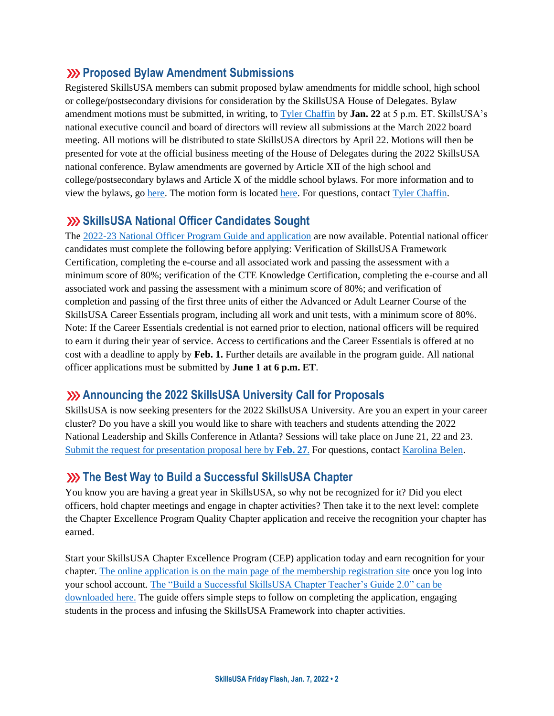### **Proposed Bylaw Amendment Submissions**

Registered SkillsUSA members can submit proposed bylaw amendments for middle school, high school or college/postsecondary divisions for consideration by the SkillsUSA House of Delegates. Bylaw amendment motions must be submitted, in writing, to [Tyler Chaffin](mailto:tchaffin@skillsusa.org) by **Jan. 22** at 5 p.m. ET. SkillsUSA's national executive council and board of directors will review all submissions at the March 2022 board meeting. All motions will be distributed to state SkillsUSA directors by April 22. Motions will then be presented for vote at the official business meeting of the House of Delegates during the 2022 SkillsUSA national conference. Bylaw amendments are governed by Article XII of the high school and college/postsecondary bylaws and Article X of the middle school bylaws. For more information and to view the bylaws, g[o here.](https://www.skillsusa.org/events-training/national-leadership-and-skills-conference/delegate-sessions/) The motion form is locate[d here.](https://skillsusa.wufoo.com/forms/m1grk6qr1j8vz5i/) For questions, contac[t Tyler Chaffin.](mailto:tchaffin@skillsusa.org)

## **SkillsUSA National Officer Candidates Sought**

The [2022-23 National Officer Program Guide and application](https://www.skillsusa.org/membership-resources/students/national-officer-election-process/) are now available. Potential national officer candidates must complete the following before applying: Verification of SkillsUSA Framework Certification, completing the e-course and all associated work and passing the assessment with a minimum score of 80%; verification of the CTE Knowledge Certification, completing the e-course and all associated work and passing the assessment with a minimum score of 80%; and verification of completion and passing of the first three units of either the Advanced or Adult Learner Course of the SkillsUSA Career Essentials program, including all work and unit tests, with a minimum score of 80%. Note: If the Career Essentials credential is not earned prior to election, national officers will be required to earn it during their year of service. Access to certifications and the Career Essentials is offered at no cost with a deadline to apply by **Feb. 1.** Further details are available in the program guide. All national officer applications must be submitted by **June 1 at 6 p.m. ET**.

## **Announcing the 2022 SkillsUSA University Call for Proposals**

SkillsUSA is now seeking presenters for the 2022 SkillsUSA University. Are you an expert in your career cluster? Do you have a skill you would like to share with teachers and students attending the 2022 National Leadership and Skills Conference in Atlanta? Sessions will take place on June 21, 22 and 23. [Submit the request for presentation proposal here by](https://docs.google.com/forms/d/e/1FAIpQLSdAZNVdpwIoexVeA84Wenhjh0g0_3Km2r7RtNXo6B02Btl1DQ/viewform) **Feb. 27**. For questions, contac[t Karolina Belen.](mailto:kbelen@skillsusa.org)

### **XX** The Best Way to Build a Successful SkillsUSA Chapter

You know you are having a great year in SkillsUSA, so why not be recognized for it? Did you elect officers, hold chapter meetings and engage in chapter activities? Then take it to the next level: complete the Chapter Excellence Program Quality Chapter application and receive the recognition your chapter has earned.

Start your SkillsUSA Chapter Excellence Program (CEP) application today and earn recognition for your chapter. [The online application is on the main page of the membership registration site](https://www.skillsusa-register.org/Login.aspx) once you log into your school account. [The "Build a Successful SkillsUSA Chapter Teacher's Guide 2.0" can be](https://www.skillsusa.org/programs/chapter-excellence-program/)  [downloaded here.](https://www.skillsusa.org/programs/chapter-excellence-program/) The guide offers simple steps to follow on completing the application, engaging students in the process and infusing the SkillsUSA Framework into chapter activities.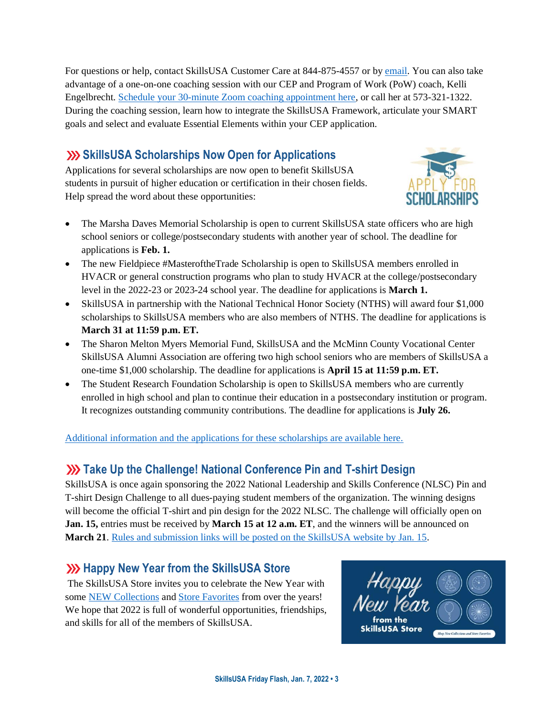For questions or help, contact SkillsUSA Customer Care at 844-875-4557 or b[y email.](mailto:customercare@skillsusa.org) You can also take advantage of a one-on-one coaching session with our CEP and Program of Work (PoW) coach, Kelli Engelbrecht[. Schedule your 30-minute Zoom coaching appointment here,](https://calendly.com/skillsusakelli) or call her at 573-321-1322. During the coaching session, learn how to integrate the SkillsUSA Framework, articulate your SMART goals and select and evaluate Essential Elements within your CEP application.

# **Shillsusa Scholarships Now Open for Applications**

Applications for several scholarships are now open to benefit SkillsUSA students in pursuit of higher education or certification in their chosen fields. Help spread the word about these opportunities:



- The Marsha Daves Memorial Scholarship is open to current SkillsUSA state officers who are high school seniors or college/postsecondary students with another year of school. The deadline for applications is **Feb. 1.**
- The new Fieldpiece #MasteroftheTrade Scholarship is open to SkillsUSA members enrolled in HVACR or general construction programs who plan to study HVACR at the college/postsecondary level in the 2022-23 or 2023-24 school year. The deadline for applications is **March 1.**
- SkillsUSA in partnership with the National Technical Honor Society (NTHS) will award four \$1,000 scholarships to SkillsUSA members who are also members of NTHS. The deadline for applications is **March 31 at 11:59 p.m. ET.**
- The Sharon Melton Myers Memorial Fund, SkillsUSA and the McMinn County Vocational Center SkillsUSA Alumni Association are offering two high school seniors who are members of SkillsUSA a one-time \$1,000 scholarship. The deadline for applications is **April 15 at 11:59 p.m. ET.**
- The Student Research Foundation Scholarship is open to SkillsUSA members who are currently enrolled in high school and plan to continue their education in a postsecondary institution or program. It recognizes outstanding community contributions. The deadline for applications is **July 26.**

#### [Additional information and the applications for these scholarships are available here.](https://www.skillsusa.org/membership-resources/scholarships-financial-aid/)

## **XX** Take Up the Challenge! National Conference Pin and T-shirt Design

SkillsUSA is once again sponsoring the 2022 National Leadership and Skills Conference (NLSC) Pin and T-shirt Design Challenge to all dues-paying student members of the organization. The winning designs will become the official T-shirt and pin design for the 2022 NLSC. The challenge will officially open on **Jan. 15,** entries must be received by **March 15 at 12 a.m. ET**, and the winners will be announced on **March 21**. Rules [and submission links will be posted on the SkillsUSA website by Jan. 15.](https://www.skillsusa.org/competitions/pin-design-challenge/)

## **We Skillsusa Store** Happy New Year from the SkillsusA Store

The SkillsUSA Store invites you to celebrate the New Year with some [NEW Collections](https://skillsusastore.mybrightsites.com/products?s%5Bf%5D%5Bc%5D%5B%5D=%2FApparel+Room%2FNEW+Comfort+Collection) and [Store Favorites](https://skillsusastore.mybrightsites.com/products?s%5Bf%5D%5Bc%5D%5B%5D=%2FGift+Collection) from over the years! We hope that 2022 is full of wonderful opportunities, friendships, and skills for all of the members of SkillsUSA.